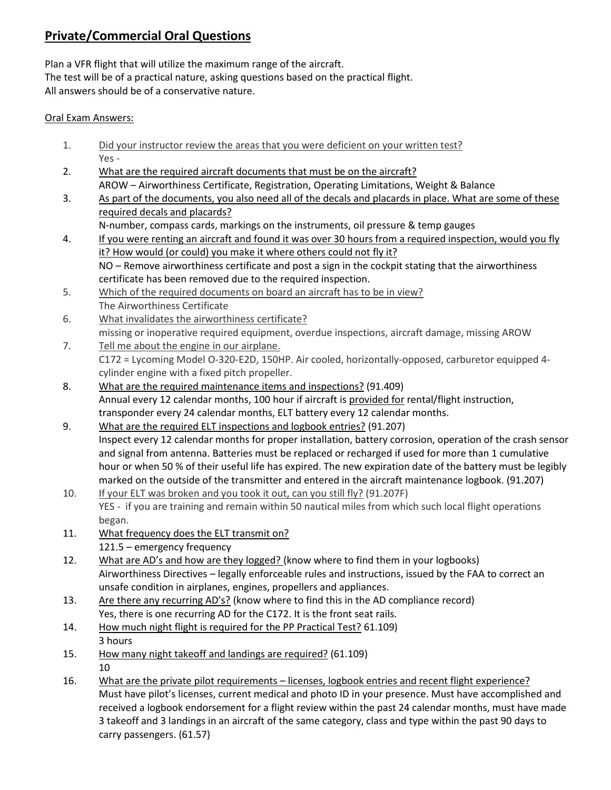# **Private/Commercial Oral Questions**

Plan a VFR flight that will utilize the maximum range of the aircraft. The test will be of a practical nature, asking questions based on the practical flight. All answers should be of a conservative nature.

#### Oral Exam Answers:

- 1. Did your instructor review the areas that you were deficient on your written test? Yes -
- 2. What are the required aircraft documents that must be on the aircraft? AROW – Airworthiness Certificate, Registration, Operating Limitations, Weight & Balance
- 3. As part of the documents, you also need all of the decals and placards in place. What are some of these required decals and placards?
	- N-number, compass cards, markings on the instruments, oil pressure & temp gauges
- 4. If you were renting an aircraft and found it was over 30 hours from a required inspection, would you fly it? How would (or could) you make it where others could not fly it? NO – Remove airworthiness certificate and post a sign in the cockpit stating that the airworthiness certificate has been removed due to the required inspection.
- 5. Which of the required documents on board an aircraft has to be in view? The Airworthiness Certificate
- 6. What invalidates the airworthiness certificate? missing or inoperative required equipment, overdue inspections, aircraft damage, missing AROW
- 7. Tell me about the engine in our airplane. C172 = Lycoming Model O-320-E2D, 150HP. Air cooled, horizontally-opposed, carburetor equipped 4 cylinder engine with a fixed pitch propeller.
- 8. What are the required maintenance items and inspections? (91.409) Annual every 12 calendar months, 100 hour if aircraft is provided for rental/flight instruction, transponder every 24 calendar months, ELT battery every 12 calendar months.
- 9. What are the required ELT inspections and logbook entries? (91.207) Inspect every 12 calendar months for proper installation, battery corrosion, operation of the crash sensor and signal from antenna. Batteries must be replaced or recharged if used for more than 1 cumulative hour or when 50 % of their useful life has expired. The new expiration date of the battery must be legibly marked on the outside of the transmitter and entered in the aircraft maintenance logbook. (91.207)
- 10. If your ELT was broken and you took it out, can you still fly? (91.207F) YES - if you are training and remain within 50 nautical miles from which such local flight operations began.
- 11. What frequency does the ELT transmit on? 121.5 – emergency frequency
- 12. What are AD's and how are they logged? (know where to find them in your logbooks) Airworthiness Directives – legally enforceable rules and instructions, issued by the FAA to correct an unsafe condition in airplanes, engines, propellers and appliances.
- 13. Are there any recurring AD's? (know where to find this in the AD compliance record) Yes, there is one recurring AD for the C172. It is the front seat rails.
- 14. How much night flight is required for the PP Practical Test? 61.109) 3 hours
- 15. How many night takeoff and landings are required? (61.109) 10
- 16. What are the private pilot requirements licenses, logbook entries and recent flight experience? Must have pilot's licenses, current medical and photo ID in your presence. Must have accomplished and received a logbook endorsement for a flight review within the past 24 calendar months, must have made 3 takeoff and 3 landings in an aircraft of the same category, class and type within the past 90 days to carry passengers. (61.57)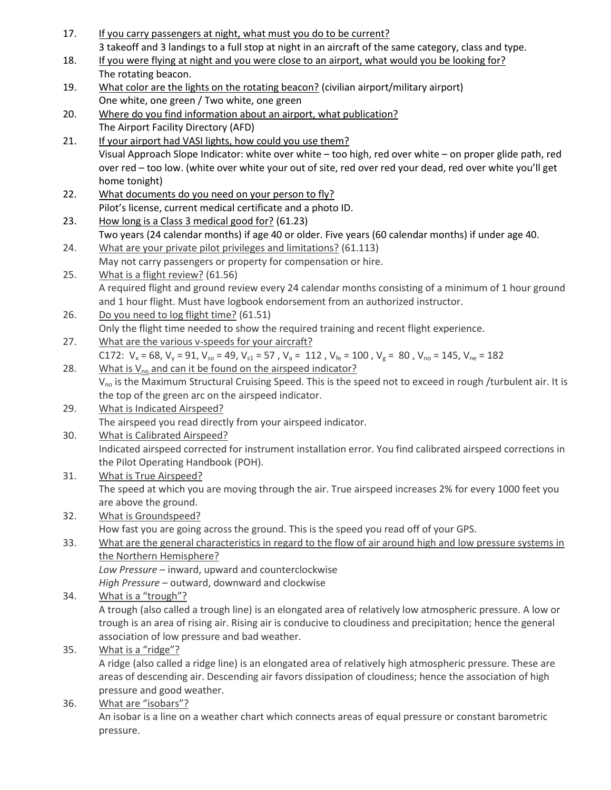| 17. | If you carry passengers at night, what must you do to be current?                                                                           |
|-----|---------------------------------------------------------------------------------------------------------------------------------------------|
|     | 3 takeoff and 3 landings to a full stop at night in an aircraft of the same category, class and type.                                       |
| 18. | If you were flying at night and you were close to an airport, what would you be looking for?                                                |
|     | The rotating beacon.                                                                                                                        |
| 19. | What color are the lights on the rotating beacon? (civilian airport/military airport)                                                       |
|     | One white, one green / Two white, one green                                                                                                 |
| 20. | Where do you find information about an airport, what publication?                                                                           |
|     | The Airport Facility Directory (AFD)                                                                                                        |
| 21. | If your airport had VASI lights, how could you use them?                                                                                    |
|     | Visual Approach Slope Indicator: white over white - too high, red over white - on proper glide path, red                                    |
|     | over red - too low. (white over white your out of site, red over red your dead, red over white you'll get                                   |
|     | home tonight)                                                                                                                               |
| 22. | What documents do you need on your person to fly?                                                                                           |
|     | Pilot's license, current medical certificate and a photo ID.                                                                                |
| 23. | How long is a Class 3 medical good for? (61.23)                                                                                             |
|     | Two years (24 calendar months) if age 40 or older. Five years (60 calendar months) if under age 40.                                         |
| 24. | What are your private pilot privileges and limitations? (61.113)                                                                            |
|     | May not carry passengers or property for compensation or hire.                                                                              |
| 25. | What is a flight review? (61.56)                                                                                                            |
|     | A required flight and ground review every 24 calendar months consisting of a minimum of 1 hour ground                                       |
|     | and 1 hour flight. Must have logbook endorsement from an authorized instructor.                                                             |
| 26. | Do you need to log flight time? (61.51)                                                                                                     |
|     | Only the flight time needed to show the required training and recent flight experience.                                                     |
| 27. | What are the various v-speeds for your aircraft?                                                                                            |
|     | C172: $V_x = 68$ , $V_y = 91$ , $V_{so} = 49$ , $V_{s1} = 57$ , $V_a = 112$ , $V_{fe} = 100$ , $V_g = 80$ , $V_{no} = 145$ , $V_{ne} = 182$ |
| 28. | What is V <sub>no</sub> and can it be found on the airspeed indicator?                                                                      |
|     | V <sub>no</sub> is the Maximum Structural Cruising Speed. This is the speed not to exceed in rough /turbulent air. It is                    |
|     | the top of the green arc on the airspeed indicator.                                                                                         |
| 29. | What is Indicated Airspeed?                                                                                                                 |
|     | The airspeed you read directly from your airspeed indicator.                                                                                |
| 30. | <b>What is Calibrated Airspeed?</b>                                                                                                         |
|     | Indicated airspeed corrected for instrument installation error. You find calibrated airspeed corrections in                                 |
|     | the Pilot Operating Handbook (POH).                                                                                                         |
| 31. | What is True Airspeed?                                                                                                                      |
|     | The speed at which you are moving through the air. True airspeed increases 2% for every 1000 feet you                                       |
|     | are above the ground.                                                                                                                       |
| 32. | What is Groundspeed?                                                                                                                        |
|     | How fast you are going across the ground. This is the speed you read off of your GPS.                                                       |
| 33. | What are the general characteristics in regard to the flow of air around high and low pressure systems in                                   |
|     | the Northern Hemisphere?                                                                                                                    |
|     | Low Pressure - inward, upward and counterclockwise                                                                                          |
|     | High Pressure - outward, downward and clockwise                                                                                             |
| 34. | What is a "trough"?                                                                                                                         |
|     | A trough (also called a trough line) is an elongated area of relatively low atmospheric pressure. A low or                                  |
|     | trough is an area of rising air. Rising air is conducive to cloudiness and precipitation; hence the general                                 |
|     | association of low pressure and bad weather.                                                                                                |
| 35. | What is a "ridge"?                                                                                                                          |
|     | A ridge (also called a ridge line) is an elongated area of relatively high atmospheric pressure. These are                                  |
|     | areas of descending air. Descending air favors dissipation of cloudiness; hence the association of high                                     |
| 36. | pressure and good weather.<br>What are "isobars"?                                                                                           |
|     | An isobar is a line on a weather chart which connects areas of equal pressure or constant barometric                                        |
|     |                                                                                                                                             |

pressure.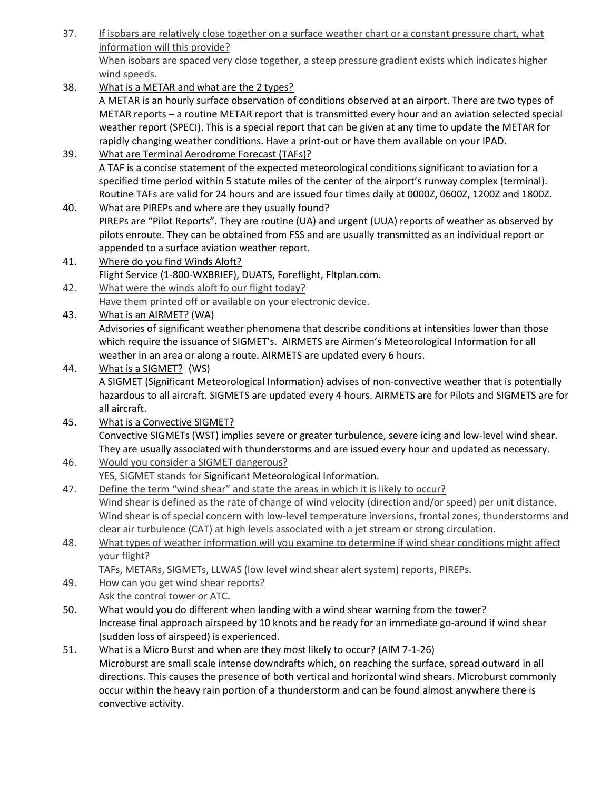- 37. If isobars are relatively close together on a surface weather chart or a constant pressure chart, what information will this provide? When isobars are spaced very close together, a steep pressure gradient exists which indicates higher wind speeds.
- 38. What is a METAR and what are the 2 types? A METAR is an hourly surface observation of conditions observed at an airport. There are two types of METAR reports – a routine METAR report that is transmitted every hour and an aviation selected special weather report (SPECI). This is a special report that can be given at any time to update the METAR for rapidly changing weather conditions. Have a print-out or have them available on your IPAD.
- 39. What are Terminal Aerodrome Forecast (TAFs)? A TAF is a concise statement of the expected meteorological conditions significant to aviation for a specified time period within 5 statute miles of the center of the airport's runway complex (terminal). Routine TAFs are valid for 24 hours and are issued four times daily at 0000Z, 0600Z, 1200Z and 1800Z.
- 40. What are PIREPs and where are they usually found? PIREPs are "Pilot Reports". They are routine (UA) and urgent (UUA) reports of weather as observed by pilots enroute. They can be obtained from FSS and are usually transmitted as an individual report or appended to a surface aviation weather report.
- 41. Where do you find Winds Aloft? Flight Service (1-800-WXBRIEF), DUATS, Foreflight, Fltplan.com.
- 42. What were the winds aloft fo our flight today? Have them printed off or available on your electronic device.
- 43. What is an AIRMET? (WA)

Advisories of significant weather phenomena that describe conditions at intensities lower than those which require the issuance of SIGMET's. AIRMETS are Airmen's Meteorological Information for all weather in an area or along a route. AIRMETS are updated every 6 hours.

- 44. What is a SIGMET? (WS) A SIGMET (Significant Meteorological Information) advises of non-convective weather that is potentially hazardous to all aircraft. SIGMETS are updated every 4 hours. AIRMETS are for Pilots and SIGMETS are for all aircraft.
- 45. What is a Convective SIGMET? Convective SIGMETs (WST) implies severe or greater turbulence, severe icing and low-level wind shear. They are usually associated with thunderstorms and are issued every hour and updated as necessary.
- 46. Would you consider a SIGMET dangerous? YES, SIGMET stands for Significant Meteorological Information.
- 47. Define the term "wind shear" and state the areas in which it is likely to occur? Wind shear is defined as the rate of change of wind velocity (direction and/or speed) per unit distance. Wind shear is of special concern with low-level temperature inversions, frontal zones, thunderstorms and clear air turbulence (CAT) at high levels associated with a jet stream or strong circulation.
- 48. What types of weather information will you examine to determine if wind shear conditions might affect your flight?

TAFs, METARs, SIGMETs, LLWAS (low level wind shear alert system) reports, PIREPs.

- 49. How can you get wind shear reports? Ask the control tower or ATC.
- 50. What would you do different when landing with a wind shear warning from the tower? Increase final approach airspeed by 10 knots and be ready for an immediate go-around if wind shear (sudden loss of airspeed) is experienced.
- 51. What is a Micro Burst and when are they most likely to occur? (AIM 7-1-26) Microburst are small scale intense downdrafts which, on reaching the surface, spread outward in all directions. This causes the presence of both vertical and horizontal wind shears. Microburst commonly occur within the heavy rain portion of a thunderstorm and can be found almost anywhere there is convective activity.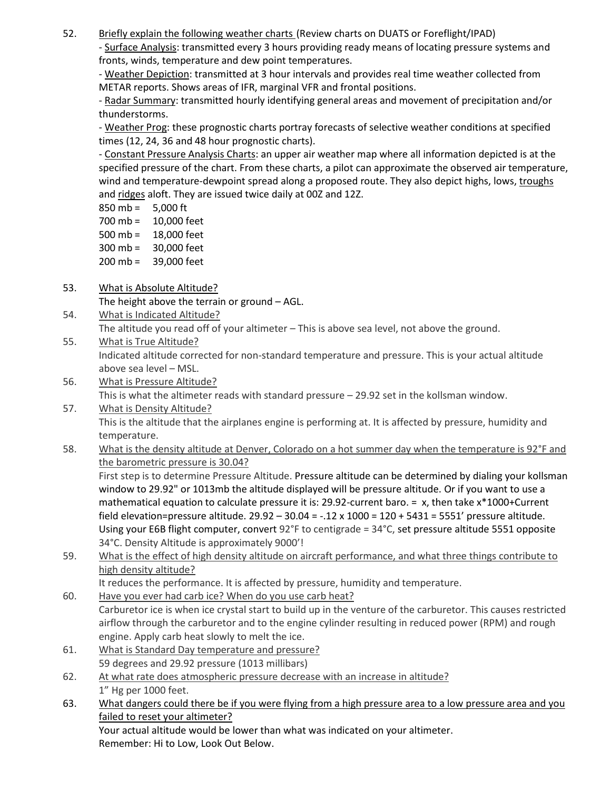52. Briefly explain the following weather charts (Review charts on DUATS or Foreflight/IPAD)

- Surface Analysis: transmitted every 3 hours providing ready means of locating pressure systems and fronts, winds, temperature and dew point temperatures.

- Weather Depiction: transmitted at 3 hour intervals and provides real time weather collected from METAR reports. Shows areas of IFR, marginal VFR and frontal positions.

- Radar Summary: transmitted hourly identifying general areas and movement of precipitation and/or thunderstorms.

- Weather Prog: these prognostic charts portray forecasts of selective weather conditions at specified times (12, 24, 36 and 48 hour prognostic charts).

- Constant Pressure Analysis Charts: an upper air weather map where all information depicted is at the specified pressure of the chart. From these charts, a pilot can approximate the observed air temperature, wind and temperature-dewpoint spread along a proposed route. They also depict highs, lows, troughs and ridges aloft. They are issued twice daily at 00Z and 12Z.

- 850 mb = 5,000 ft
- 700 mb = 10,000 feet
- 500 mb = 18,000 feet
- 300 mb = 30,000 feet
- 200 mb = 39,000 feet

## 53. What is Absolute Altitude?

The height above the terrain or ground – AGL.

- 54. What is Indicated Altitude?
	- The altitude you read off of your altimeter This is above sea level, not above the ground.
- 55. What is True Altitude? Indicated altitude corrected for non-standard temperature and pressure. This is your actual altitude above sea level – MSL.
- 56. What is Pressure Altitude? This is what the altimeter reads with standard pressure – 29.92 set in the kollsman window.
- 57. What is Density Altitude? This is the altitude that the airplanes engine is performing at. It is affected by pressure, humidity and temperature.
- 58. What is the density altitude at Denver, Colorado on a hot summer day when the temperature is 92°F and the barometric pressure is 30.04?

First step is to determine Pressure Altitude. Pressure altitude can be determined by dialing your kollsman window to 29.92" or 1013mb the altitude displayed will be pressure altitude. Or if you want to use a mathematical equation to calculate pressure it is: 29.92-current baro. = x, then take x\*1000+Current field elevation=pressure altitude. 29.92 – 30.04 = -.12 x 1000 = 120 + 5431 = 5551' pressure altitude. Using your E6B flight computer, convert 92°F to centigrade = 34°C, set pressure altitude 5551 opposite 34°C. Density Altitude is approximately 9000'!

59. What is the effect of high density altitude on aircraft performance, and what three things contribute to high density altitude?

It reduces the performance. It is affected by pressure, humidity and temperature.

- 60. Have you ever had carb ice? When do you use carb heat? Carburetor ice is when ice crystal start to build up in the venture of the carburetor. This causes restricted airflow through the carburetor and to the engine cylinder resulting in reduced power (RPM) and rough engine. Apply carb heat slowly to melt the ice.
- 61. What is Standard Day temperature and pressure? 59 degrees and 29.92 pressure (1013 millibars)
- 62. At what rate does atmospheric pressure decrease with an increase in altitude? 1" Hg per 1000 feet.
- 63. What dangers could there be if you were flying from a high pressure area to a low pressure area and you failed to reset your altimeter?

Your actual altitude would be lower than what was indicated on your altimeter. Remember: Hi to Low, Look Out Below.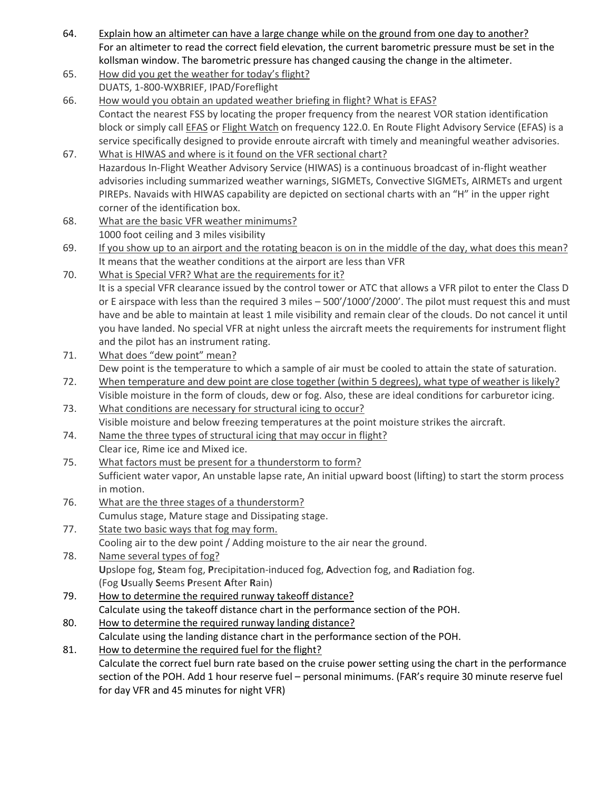- 64. Explain how an altimeter can have a large change while on the ground from one day to another? For an altimeter to read the correct field elevation, the current barometric pressure must be set in the kollsman window. The barometric pressure has changed causing the change in the altimeter.
- 65. How did you get the weather for today's flight? DUATS, 1-800-WXBRIEF, IPAD/Foreflight
- 66. How would you obtain an updated weather briefing in flight? What is EFAS? Contact the nearest FSS by locating the proper frequency from the nearest VOR station identification block or simply call EFAS or Flight Watch on frequency 122.0. En Route Flight Advisory Service (EFAS) is a service specifically designed to provide enroute aircraft with timely and meaningful weather advisories.
- 67. What is HIWAS and where is it found on the VFR sectional chart? Hazardous In-Flight Weather Advisory Service (HIWAS) is a continuous broadcast of in-flight weather advisories including summarized weather warnings, SIGMETs, Convective SIGMETs, AIRMETs and urgent PIREPs. Navaids with HIWAS capability are depicted on sectional charts with an "H" in the upper right corner of the identification box.
- 68. What are the basic VFR weather minimums? 1000 foot ceiling and 3 miles visibility
- 69. If you show up to an airport and the rotating beacon is on in the middle of the day, what does this mean? It means that the weather conditions at the airport are less than VFR
- 70. What is Special VFR? What are the requirements for it? It is a special VFR clearance issued by the control tower or ATC that allows a VFR pilot to enter the Class D or E airspace with less than the required 3 miles – 500'/1000'/2000'. The pilot must request this and must have and be able to maintain at least 1 mile visibility and remain clear of the clouds. Do not cancel it until you have landed. No special VFR at night unless the aircraft meets the requirements for instrument flight and the pilot has an instrument rating.
- 71. What does "dew point" mean? Dew point is the temperature to which a sample of air must be cooled to attain the state of saturation.
- 72. When temperature and dew point are close together (within 5 degrees), what type of weather is likely? Visible moisture in the form of clouds, dew or fog. Also, these are ideal conditions for carburetor icing.
- 73. What conditions are necessary for structural icing to occur? Visible moisture and below freezing temperatures at the point moisture strikes the aircraft.
- 74. Name the three types of structural icing that may occur in flight? Clear ice, Rime ice and Mixed ice.
- 75. What factors must be present for a thunderstorm to form? Sufficient water vapor, An unstable lapse rate, An initial upward boost (lifting) to start the storm process in motion.
- 76. What are the three stages of a thunderstorm? Cumulus stage, Mature stage and Dissipating stage.
- 77. State two basic ways that fog may form. Cooling air to the dew point / Adding moisture to the air near the ground.
- 78. Name several types of fog? **U**pslope fog, **S**team fog, **P**recipitation-induced fog, **A**dvection fog, and **R**adiation fog. (Fog **U**sually **S**eems **P**resent **A**fter **R**ain)
- 79. How to determine the required runway takeoff distance? Calculate using the takeoff distance chart in the performance section of the POH.
- 80. How to determine the required runway landing distance? Calculate using the landing distance chart in the performance section of the POH.
- 81. How to determine the required fuel for the flight? Calculate the correct fuel burn rate based on the cruise power setting using the chart in the performance section of the POH. Add 1 hour reserve fuel – personal minimums. (FAR's require 30 minute reserve fuel for day VFR and 45 minutes for night VFR)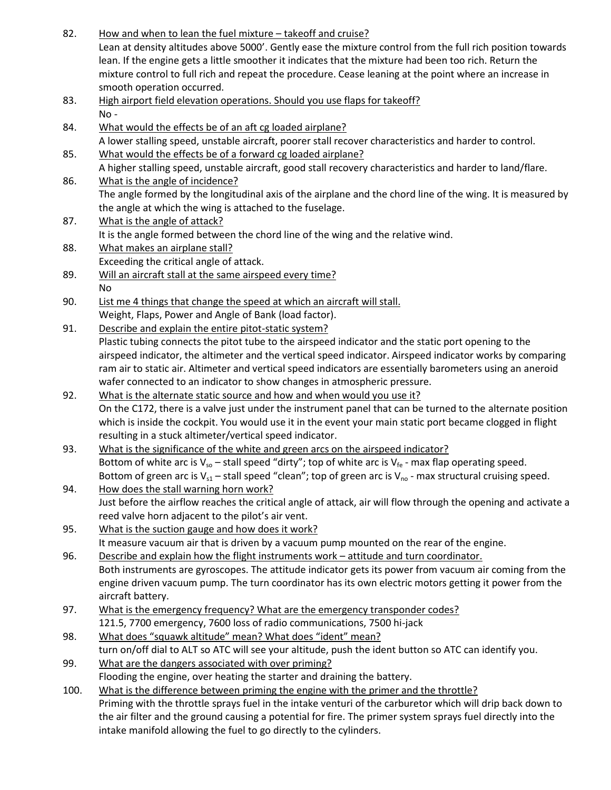- 82. How and when to lean the fuel mixture takeoff and cruise? Lean at density altitudes above 5000'. Gently ease the mixture control from the full rich position towards lean. If the engine gets a little smoother it indicates that the mixture had been too rich. Return the mixture control to full rich and repeat the procedure. Cease leaning at the point where an increase in smooth operation occurred.
- 83. High airport field elevation operations. Should you use flaps for takeoff? No -
- 84. What would the effects be of an aft cg loaded airplane? A lower stalling speed, unstable aircraft, poorer stall recover characteristics and harder to control.
- 85. What would the effects be of a forward cg loaded airplane? A higher stalling speed, unstable aircraft, good stall recovery characteristics and harder to land/flare.
- 86. What is the angle of incidence? The angle formed by the longitudinal axis of the airplane and the chord line of the wing. It is measured by the angle at which the wing is attached to the fuselage.
- 87. What is the angle of attack? It is the angle formed between the chord line of the wing and the relative wind.
- 88. What makes an airplane stall? Exceeding the critical angle of attack.
- 89. Will an aircraft stall at the same airspeed every time? No
- 90. List me 4 things that change the speed at which an aircraft will stall. Weight, Flaps, Power and Angle of Bank (load factor).
- 91. Describe and explain the entire pitot-static system?
	- Plastic tubing connects the pitot tube to the airspeed indicator and the static port opening to the airspeed indicator, the altimeter and the vertical speed indicator. Airspeed indicator works by comparing ram air to static air. Altimeter and vertical speed indicators are essentially barometers using an aneroid wafer connected to an indicator to show changes in atmospheric pressure.
- 92. What is the alternate static source and how and when would you use it? On the C172, there is a valve just under the instrument panel that can be turned to the alternate position which is inside the cockpit. You would use it in the event your main static port became clogged in flight resulting in a stuck altimeter/vertical speed indicator.
- 93. What is the significance of the white and green arcs on the airspeed indicator? Bottom of white arc is  $V_{so}$  – stall speed "dirty"; top of white arc is  $V_{fe}$  - max flap operating speed. Bottom of green arc is  $V_{s1}$  – stall speed "clean"; top of green arc is  $V_{no}$  - max structural cruising speed.
- 94. How does the stall warning horn work? Just before the airflow reaches the critical angle of attack, air will flow through the opening and activate a reed valve horn adjacent to the pilot's air vent.
- 95. What is the suction gauge and how does it work? It measure vacuum air that is driven by a vacuum pump mounted on the rear of the engine.
- 96. Describe and explain how the flight instruments work attitude and turn coordinator. Both instruments are gyroscopes. The attitude indicator gets its power from vacuum air coming from the engine driven vacuum pump. The turn coordinator has its own electric motors getting it power from the aircraft battery.
- 97. What is the emergency frequency? What are the emergency transponder codes?
- 121.5, 7700 emergency, 7600 loss of radio communications, 7500 hi-jack 98. What does "squawk altitude" mean? What does "ident" mean?

turn on/off dial to ALT so ATC will see your altitude, push the ident button so ATC can identify you.

- 99. What are the dangers associated with over priming? Flooding the engine, over heating the starter and draining the battery.
- 100. What is the difference between priming the engine with the primer and the throttle? Priming with the throttle sprays fuel in the intake venturi of the carburetor which will drip back down to the air filter and the ground causing a potential for fire. The primer system sprays fuel directly into the intake manifold allowing the fuel to go directly to the cylinders.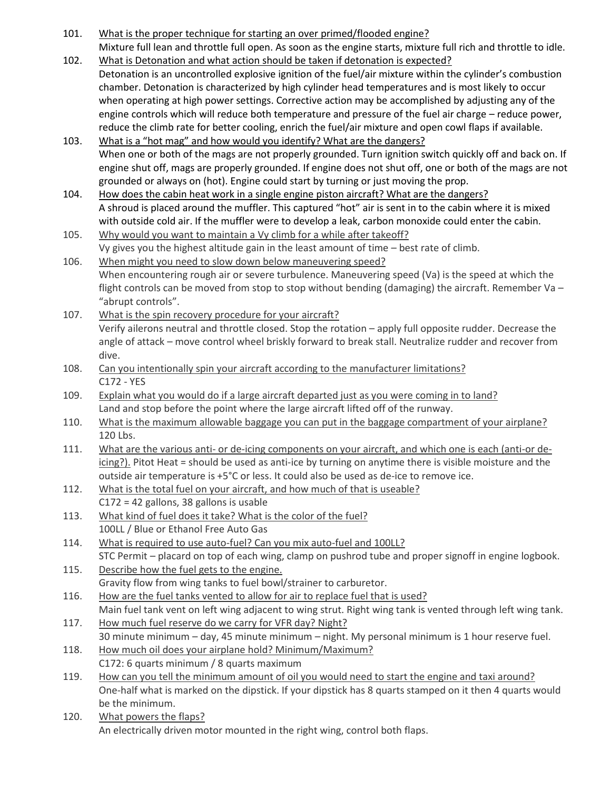- 101. What is the proper technique for starting an over primed/flooded engine? Mixture full lean and throttle full open. As soon as the engine starts, mixture full rich and throttle to idle.
- 102. What is Detonation and what action should be taken if detonation is expected? Detonation is an uncontrolled explosive ignition of the fuel/air mixture within the cylinder's combustion chamber. Detonation is characterized by high cylinder head temperatures and is most likely to occur when operating at high power settings. Corrective action may be accomplished by adjusting any of the engine controls which will reduce both temperature and pressure of the fuel air charge – reduce power, reduce the climb rate for better cooling, enrich the fuel/air mixture and open cowl flaps if available.
- 103. What is a "hot mag" and how would you identify? What are the dangers? When one or both of the mags are not properly grounded. Turn ignition switch quickly off and back on. If engine shut off, mags are properly grounded. If engine does not shut off, one or both of the mags are not grounded or always on (hot). Engine could start by turning or just moving the prop.
- 104. How does the cabin heat work in a single engine piston aircraft? What are the dangers? A shroud is placed around the muffler. This captured "hot" air is sent in to the cabin where it is mixed with outside cold air. If the muffler were to develop a leak, carbon monoxide could enter the cabin.
- 105. Why would you want to maintain a Vy climb for a while after takeoff? Vy gives you the highest altitude gain in the least amount of time – best rate of climb.
- 106. When might you need to slow down below maneuvering speed? When encountering rough air or severe turbulence. Maneuvering speed (Va) is the speed at which the flight controls can be moved from stop to stop without bending (damaging) the aircraft. Remember Va – "abrupt controls".
- 107. What is the spin recovery procedure for your aircraft? Verify ailerons neutral and throttle closed. Stop the rotation – apply full opposite rudder. Decrease the angle of attack – move control wheel briskly forward to break stall. Neutralize rudder and recover from dive.
- 108. Can you intentionally spin your aircraft according to the manufacturer limitations? C172 - YES
- 109. Explain what you would do if a large aircraft departed just as you were coming in to land? Land and stop before the point where the large aircraft lifted off of the runway.
- 110. What is the maximum allowable baggage you can put in the baggage compartment of your airplane? 120 Lbs.
- 111. What are the various anti- or de-icing components on your aircraft, and which one is each (anti-or deicing?). Pitot Heat = should be used as anti-ice by turning on anytime there is visible moisture and the outside air temperature is +5°C or less. It could also be used as de-ice to remove ice.
- 112. What is the total fuel on your aircraft, and how much of that is useable? C172 = 42 gallons, 38 gallons is usable
- 113. What kind of fuel does it take? What is the color of the fuel? 100LL / Blue or Ethanol Free Auto Gas
- 114. What is required to use auto-fuel? Can you mix auto-fuel and 100LL? STC Permit – placard on top of each wing, clamp on pushrod tube and proper signoff in engine logbook.
- 115. Describe how the fuel gets to the engine. Gravity flow from wing tanks to fuel bowl/strainer to carburetor.
- 116. How are the fuel tanks vented to allow for air to replace fuel that is used? Main fuel tank vent on left wing adjacent to wing strut. Right wing tank is vented through left wing tank.
- 117. How much fuel reserve do we carry for VFR day? Night? 30 minute minimum – day, 45 minute minimum – night. My personal minimum is 1 hour reserve fuel.
- 118. How much oil does your airplane hold? Minimum/Maximum? C172: 6 quarts minimum / 8 quarts maximum
- 119. How can you tell the minimum amount of oil you would need to start the engine and taxi around? One-half what is marked on the dipstick. If your dipstick has 8 quarts stamped on it then 4 quarts would be the minimum.
- 120. What powers the flaps? An electrically driven motor mounted in the right wing, control both flaps.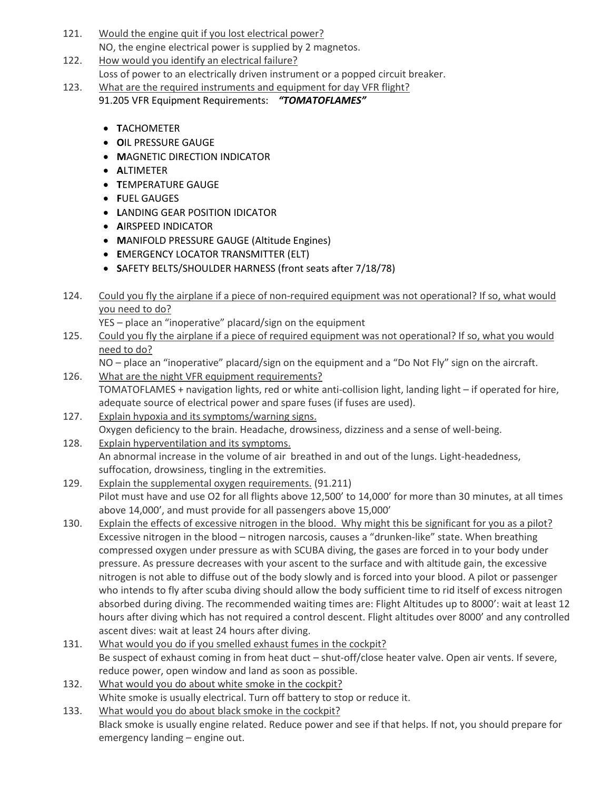- 121. Would the engine quit if you lost electrical power? NO, the engine electrical power is supplied by 2 magnetos.
- 122. How would you identify an electrical failure?
	- Loss of power to an electrically driven instrument or a popped circuit breaker.
- 123. What are the required instruments and equipment for day VFR flight?

91.205 VFR Equipment Requirements: *"TOMATOFLAMES"*

- **T**ACHOMETER
- **O**IL PRESSURE GAUGE
- **MAGNETIC DIRECTION INDICATOR**
- **A**LTIMETER
- **T**EMPERATURE GAUGE
- **F**UEL GAUGES
- **LANDING GEAR POSITION IDICATOR**
- **A**IRSPEED INDICATOR
- **M**ANIFOLD PRESSURE GAUGE (Altitude Engines)
- **E**MERGENCY LOCATOR TRANSMITTER (ELT)
- **S**AFETY BELTS/SHOULDER HARNESS (front seats after 7/18/78)
- 124. Could you fly the airplane if a piece of non-required equipment was not operational? If so, what would you need to do?

YES – place an "inoperative" placard/sign on the equipment

- 125. Could you fly the airplane if a piece of required equipment was not operational? If so, what you would need to do?
	- NO place an "inoperative" placard/sign on the equipment and a "Do Not Fly" sign on the aircraft.
- 126. What are the night VFR equipment requirements? TOMATOFLAMES + navigation lights, red or white anti-collision light, landing light – if operated for hire, adequate source of electrical power and spare fuses (if fuses are used).
- 127. Explain hypoxia and its symptoms/warning signs. Oxygen deficiency to the brain. Headache, drowsiness, dizziness and a sense of well-being.
- 128. Explain hyperventilation and its symptoms. An abnormal increase in the volume of air breathed in and out of the lungs. Light-headedness, suffocation, drowsiness, tingling in the extremities.
- 129. Explain the supplemental oxygen requirements. (91.211) Pilot must have and use O2 for all flights above 12,500' to 14,000' for more than 30 minutes, at all times above 14,000', and must provide for all passengers above 15,000'
- 130. Explain the effects of excessive nitrogen in the blood. Why might this be significant for you as a pilot? Excessive nitrogen in the blood – nitrogen narcosis, causes a "drunken-like" state. When breathing compressed oxygen under pressure as with SCUBA diving, the gases are forced in to your body under pressure. As pressure decreases with your ascent to the surface and with altitude gain, the excessive nitrogen is not able to diffuse out of the body slowly and is forced into your blood. A pilot or passenger who intends to fly after scuba diving should allow the body sufficient time to rid itself of excess nitrogen absorbed during diving. The recommended waiting times are: Flight Altitudes up to 8000': wait at least 12 hours after diving which has not required a control descent. Flight altitudes over 8000' and any controlled ascent dives: wait at least 24 hours after diving.
- 131. What would you do if you smelled exhaust fumes in the cockpit? Be suspect of exhaust coming in from heat duct – shut-off/close heater valve. Open air vents. If severe, reduce power, open window and land as soon as possible.
- 132. What would you do about white smoke in the cockpit? White smoke is usually electrical. Turn off battery to stop or reduce it.
- 133. What would you do about black smoke in the cockpit? Black smoke is usually engine related. Reduce power and see if that helps. If not, you should prepare for emergency landing – engine out.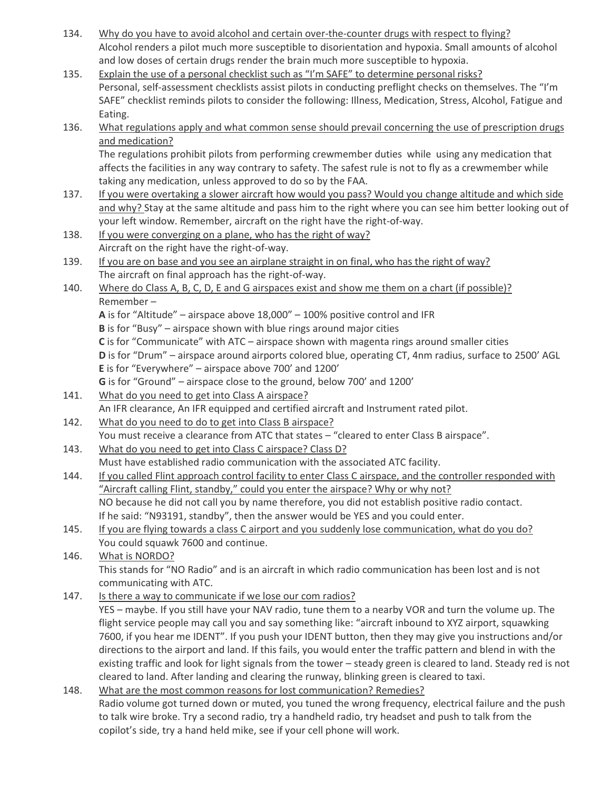- 134. Why do you have to avoid alcohol and certain over-the-counter drugs with respect to flying? Alcohol renders a pilot much more susceptible to disorientation and hypoxia. Small amounts of alcohol and low doses of certain drugs render the brain much more susceptible to hypoxia.
- 135. Explain the use of a personal checklist such as "I'm SAFE" to determine personal risks? Personal, self-assessment checklists assist pilots in conducting preflight checks on themselves. The "I'm SAFE" checklist reminds pilots to consider the following: Illness, Medication, Stress, Alcohol, Fatigue and Eating.
- 136. What regulations apply and what common sense should prevail concerning the use of prescription drugs and medication? The regulations prohibit pilots from performing crewmember duties while using any medication that affects the facilities in any way contrary to safety. The safest rule is not to fly as a crewmember while

taking any medication, unless approved to do so by the FAA. 137. If you were overtaking a slower aircraft how would you pass? Would you change altitude and which side and why? Stay at the same altitude and pass him to the right where you can see him better looking out of your left window. Remember, aircraft on the right have the right-of-way.

138. If you were converging on a plane, who has the right of way? Aircraft on the right have the right-of-way.

139. If you are on base and you see an airplane straight in on final, who has the right of way? The aircraft on final approach has the right-of-way.

## 140. Where do Class A, B, C, D, E and G airspaces exist and show me them on a chart (if possible)? Remember –

**A** is for "Altitude" – airspace above 18,000" – 100% positive control and IFR

**B** is for "Busy" – airspace shown with blue rings around major cities

**C** is for "Communicate" with ATC – airspace shown with magenta rings around smaller cities

**D** is for "Drum" – airspace around airports colored blue, operating CT, 4nm radius, surface to 2500' AGL **E** is for "Everywhere" – airspace above 700' and 1200'

**G** is for "Ground" – airspace close to the ground, below 700' and 1200'

- 141. What do you need to get into Class A airspace? An IFR clearance, An IFR equipped and certified aircraft and Instrument rated pilot.
- 142. What do you need to do to get into Class B airspace? You must receive a clearance from ATC that states – "cleared to enter Class B airspace".
- 143. What do you need to get into Class C airspace? Class D? Must have established radio communication with the associated ATC facility.
- 144. If you called Flint approach control facility to enter Class C airspace, and the controller responded with "Aircraft calling Flint, standby," could you enter the airspace? Why or why not? NO because he did not call you by name therefore, you did not establish positive radio contact. If he said: "N93191, standby", then the answer would be YES and you could enter.
- 145. If you are flying towards a class C airport and you suddenly lose communication, what do you do? You could squawk 7600 and continue.

146. What is NORDO? This stands for "NO Radio" and is an aircraft in which radio communication has been lost and is not communicating with ATC.

147. Is there a way to communicate if we lose our com radios?

YES – maybe. If you still have your NAV radio, tune them to a nearby VOR and turn the volume up. The flight service people may call you and say something like: "aircraft inbound to XYZ airport, squawking 7600, if you hear me IDENT". If you push your IDENT button, then they may give you instructions and/or directions to the airport and land. If this fails, you would enter the traffic pattern and blend in with the existing traffic and look for light signals from the tower – steady green is cleared to land. Steady red is not cleared to land. After landing and clearing the runway, blinking green is cleared to taxi.

#### 148. What are the most common reasons for lost communication? Remedies? Radio volume got turned down or muted, you tuned the wrong frequency, electrical failure and the push to talk wire broke. Try a second radio, try a handheld radio, try headset and push to talk from the copilot's side, try a hand held mike, see if your cell phone will work.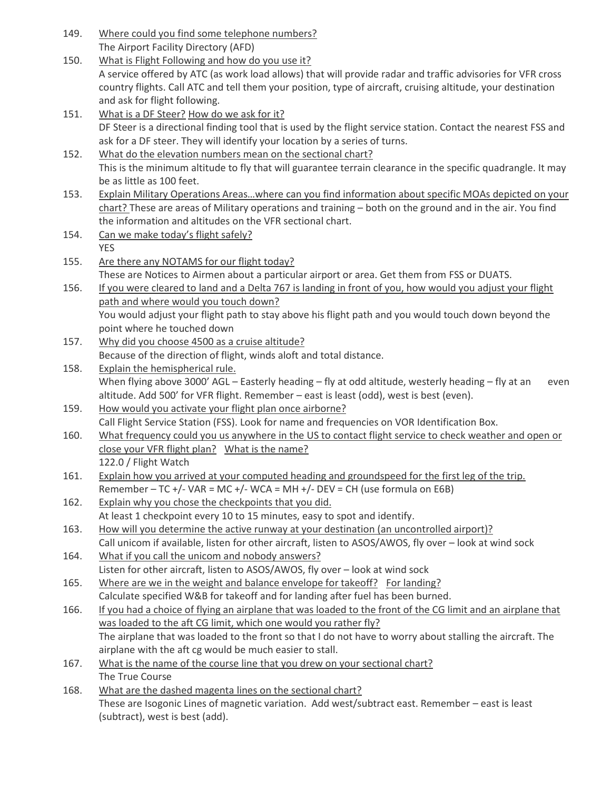| 149. | Where could you find some telephone numbers?                                                                                                                                                                                |
|------|-----------------------------------------------------------------------------------------------------------------------------------------------------------------------------------------------------------------------------|
|      | The Airport Facility Directory (AFD)                                                                                                                                                                                        |
| 150. | What is Flight Following and how do you use it?                                                                                                                                                                             |
|      | A service offered by ATC (as work load allows) that will provide radar and traffic advisories for VFR cross<br>country flights. Call ATC and tell them your position, type of aircraft, cruising altitude, your destination |
|      | and ask for flight following.                                                                                                                                                                                               |
|      |                                                                                                                                                                                                                             |
| 151. | What is a DF Steer? How do we ask for it?<br>DF Steer is a directional finding tool that is used by the flight service station. Contact the nearest FSS and                                                                 |
|      | ask for a DF steer. They will identify your location by a series of turns.                                                                                                                                                  |
| 152. | What do the elevation numbers mean on the sectional chart?                                                                                                                                                                  |
|      | This is the minimum altitude to fly that will guarantee terrain clearance in the specific quadrangle. It may                                                                                                                |
|      | be as little as 100 feet.                                                                                                                                                                                                   |
| 153. | Explain Military Operations Areaswhere can you find information about specific MOAs depicted on your                                                                                                                        |
|      | chart? These are areas of Military operations and training - both on the ground and in the air. You find                                                                                                                    |
|      | the information and altitudes on the VFR sectional chart.                                                                                                                                                                   |
| 154. | Can we make today's flight safely?                                                                                                                                                                                          |
|      | <b>YES</b>                                                                                                                                                                                                                  |
| 155. | Are there any NOTAMS for our flight today?                                                                                                                                                                                  |
|      | These are Notices to Airmen about a particular airport or area. Get them from FSS or DUATS.                                                                                                                                 |
| 156. | If you were cleared to land and a Delta 767 is landing in front of you, how would you adjust your flight                                                                                                                    |
|      | path and where would you touch down?                                                                                                                                                                                        |
|      | You would adjust your flight path to stay above his flight path and you would touch down beyond the                                                                                                                         |
|      | point where he touched down                                                                                                                                                                                                 |
| 157. | Why did you choose 4500 as a cruise altitude?                                                                                                                                                                               |
|      | Because of the direction of flight, winds aloft and total distance.                                                                                                                                                         |
| 158. | Explain the hemispherical rule.                                                                                                                                                                                             |
|      | When flying above 3000' AGL - Easterly heading - fly at odd altitude, westerly heading - fly at an<br>even                                                                                                                  |
|      | altitude. Add 500' for VFR flight. Remember - east is least (odd), west is best (even).                                                                                                                                     |
| 159. | How would you activate your flight plan once airborne?                                                                                                                                                                      |
| 160. | Call Flight Service Station (FSS). Look for name and frequencies on VOR Identification Box.                                                                                                                                 |
|      | What frequency could you us anywhere in the US to contact flight service to check weather and open or<br>close your VFR flight plan? What is the name?                                                                      |
|      | 122.0 / Flight Watch                                                                                                                                                                                                        |
| 161. | Explain how you arrived at your computed heading and groundspeed for the first leg of the trip.                                                                                                                             |
|      | Remember - TC +/- VAR = MC +/- WCA = MH +/- DEV = CH (use formula on E6B)                                                                                                                                                   |
| 162. | Explain why you chose the checkpoints that you did.                                                                                                                                                                         |
|      | At least 1 checkpoint every 10 to 15 minutes, easy to spot and identify.                                                                                                                                                    |
| 163. |                                                                                                                                                                                                                             |
|      |                                                                                                                                                                                                                             |
| 164. | How will you determine the active runway at your destination (an uncontrolled airport)?<br>Call unicom if available, listen for other aircraft, listen to ASOS/AWOS, fly over - look at wind sock                           |
|      | What if you call the unicom and nobody answers?                                                                                                                                                                             |
|      | Listen for other aircraft, listen to ASOS/AWOS, fly over - look at wind sock                                                                                                                                                |
| 165. | Where are we in the weight and balance envelope for takeoff? For landing?                                                                                                                                                   |
|      | Calculate specified W&B for takeoff and for landing after fuel has been burned.                                                                                                                                             |
| 166. | If you had a choice of flying an airplane that was loaded to the front of the CG limit and an airplane that                                                                                                                 |
|      | was loaded to the aft CG limit, which one would you rather fly?                                                                                                                                                             |
|      | The airplane that was loaded to the front so that I do not have to worry about stalling the aircraft. The                                                                                                                   |
|      | airplane with the aft cg would be much easier to stall.                                                                                                                                                                     |
| 167. | What is the name of the course line that you drew on your sectional chart?                                                                                                                                                  |
|      | The True Course                                                                                                                                                                                                             |
| 168. | What are the dashed magenta lines on the sectional chart?<br>These are Isogonic Lines of magnetic variation. Add west/subtract east. Remember - east is least                                                               |

(subtract), west is best (add).